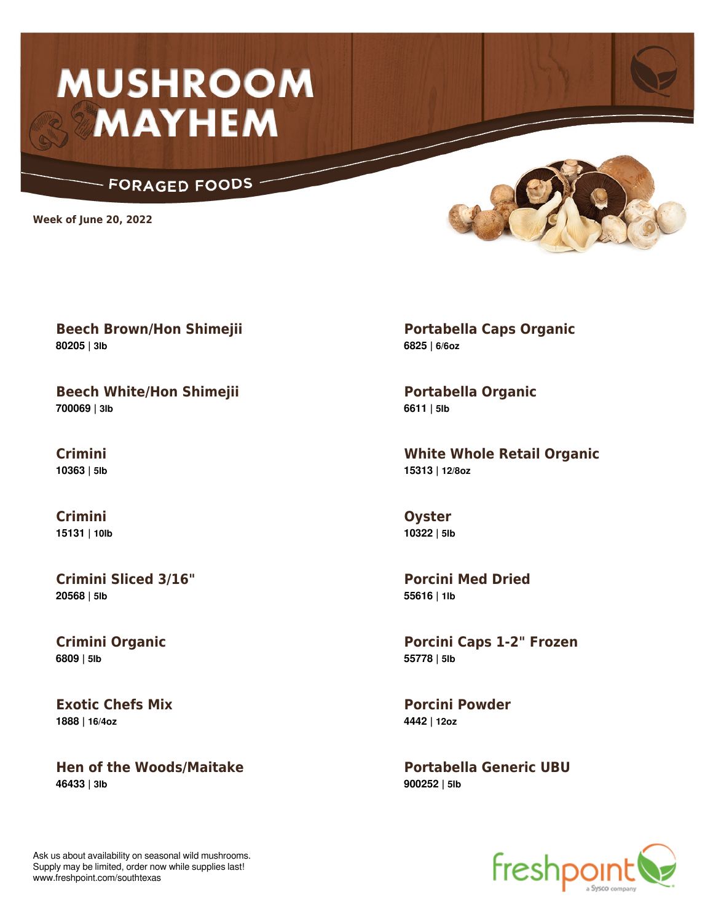## **MUSHROOM MAYHEM**

## **FORAGED FOODS**

**Week of June 20, 2022**

**Beech Brown/Hon Shimejii 80205 | 3lb**

**Beech White/Hon Shimejii 700069 | 3lb**

**Crimini 10363 | 5lb**

**Crimini 15131 | 10lb**

**Crimini Sliced 3/16" 20568 | 5lb**

**Crimini Organic 6809 | 5lb**

**Exotic Chefs Mix 1888 | 16/4oz**

**Hen of the Woods/Maitake 46433 | 3lb**

**Portabella Caps Organic 6825 | 6/6oz**

**Portabella Organic 6611 | 5lb**

**White Whole Retail Organic 15313 | 12/8oz**

**Oyster 10322 | 5lb**

**Porcini Med Dried 55616 | 1lb**

**Porcini Caps 1-2" Frozen 55778 | 5lb**

**Porcini Powder 4442 | 12oz**

**Portabella Generic UBU 900252 | 5lb**



Ask us about availability on seasonal wild mushrooms. Supply may be limited, order now while supplies last! www.freshpoint.com/southtexas